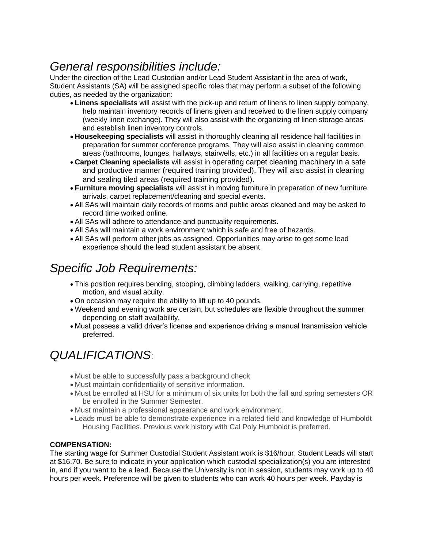## *General responsibilities include:*

Under the direction of the Lead Custodian and/or Lead Student Assistant in the area of work, Student Assistants (SA) will be assigned specific roles that may perform a subset of the following duties, as needed by the organization:

- **Linens specialists** will assist with the pick-up and return of linens to linen supply company, help maintain inventory records of linens given and received to the linen supply company (weekly linen exchange). They will also assist with the organizing of linen storage areas and establish linen inventory controls.
- **Housekeeping specialists** will assist in thoroughly cleaning all residence hall facilities in preparation for summer conference programs. They will also assist in cleaning common areas (bathrooms, lounges, hallways, stairwells, etc.) in all facilities on a regular basis.
- **Carpet Cleaning specialists** will assist in operating carpet cleaning machinery in a safe and productive manner (required training provided). They will also assist in cleaning and sealing tiled areas (required training provided).
- **Furniture moving specialists** will assist in moving furniture in preparation of new furniture arrivals, carpet replacement/cleaning and special events.
- All SAs will maintain daily records of rooms and public areas cleaned and may be asked to record time worked online.
- All SAs will adhere to attendance and punctuality requirements.
- All SAs will maintain a work environment which is safe and free of hazards.
- All SAs will perform other jobs as assigned. Opportunities may arise to get some lead experience should the lead student assistant be absent.

## *Specific Job Requirements:*

- This position requires bending, stooping, climbing ladders, walking, carrying, repetitive motion, and visual acuity.
- On occasion may require the ability to lift up to 40 pounds.
- Weekend and evening work are certain, but schedules are flexible throughout the summer depending on staff availability.
- Must possess a valid driver's license and experience driving a manual transmission vehicle preferred.

## *QUALIFICATIONS*:

- Must be able to successfully pass a background check
- Must maintain confidentiality of sensitive information.
- Must be enrolled at HSU for a minimum of six units for both the fall and spring semesters OR be enrolled in the Summer Semester.
- Must maintain a professional appearance and work environment.
- Leads must be able to demonstrate experience in a related field and knowledge of Humboldt Housing Facilities. Previous work history with Cal Poly Humboldt is preferred.

## **COMPENSATION:**

The starting wage for Summer Custodial Student Assistant work is \$16/hour. Student Leads will start at \$16.70. Be sure to indicate in your application which custodial specialization(s) you are interested in, and if you want to be a lead. Because the University is not in session, students may work up to 40 hours per week. Preference will be given to students who can work 40 hours per week. Payday is